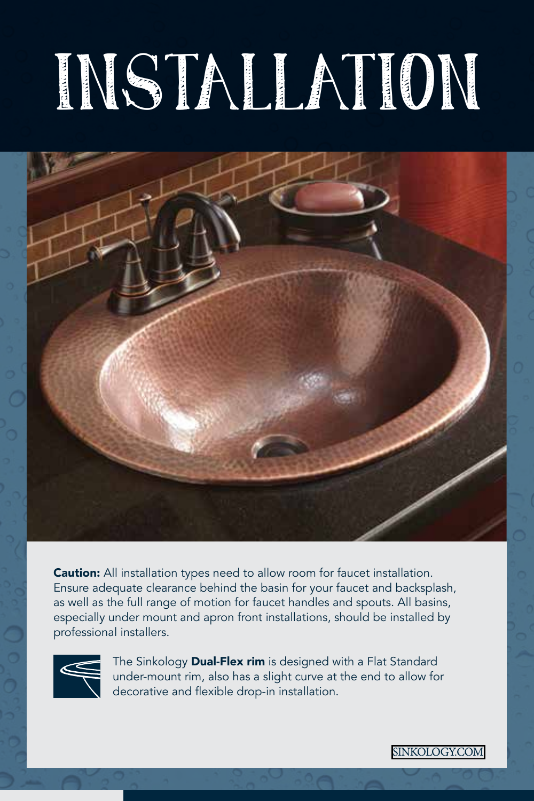# INSTALLATION



Caution: All installation types need to allow room for faucet installation. Ensure adequate clearance behind the basin for your faucet and backsplash, as well as the full range of motion for faucet handles and spouts. All basins, especially under mount and apron front installations, should be installed by professional installers.



The Sinkology Dual-Flex rim is designed with a Flat Standard under-mount rim, also has a slight curve at the end to allow for decorative and flexible drop-in installation.

SINKOLOGY.COM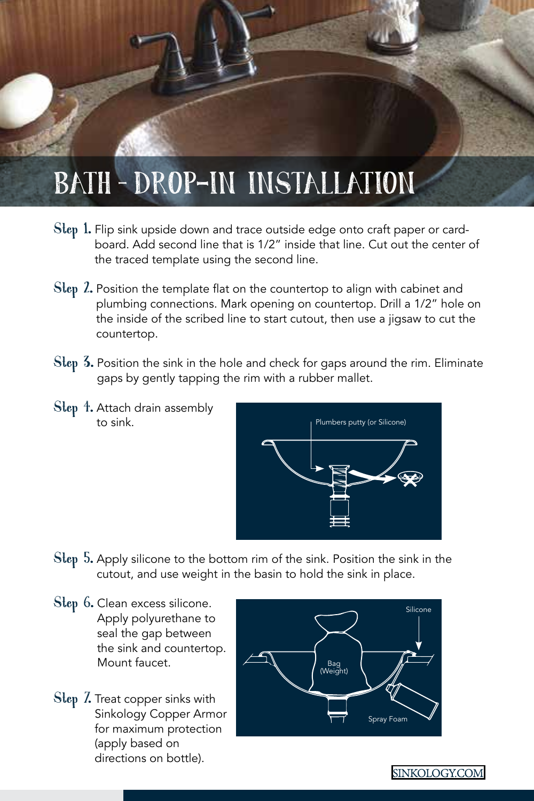# BATH – DROP-IN INSTALLATION

- Step 1. Flip sink upside down and trace outside edge onto craft paper or cardboard. Add second line that is 1/2" inside that line. Cut out the center of the traced template using the second line.
- Step 2. Position the template flat on the countertop to align with cabinet and plumbing connections. Mark opening on countertop. Drill a 1/2" hole on the inside of the scribed line to start cutout, then use a jigsaw to cut the countertop.
- Step 3. Position the sink in the hole and check for gaps around the rim. Eliminate gaps by gently tapping the rim with a rubber mallet.
- Step 4. Attach drain assembly to sink.



- Step 5. Apply silicone to the bottom rim of the sink. Position the sink in the cutout, and use weight in the basin to hold the sink in place.
- Step 6. Clean excess silicone. Apply polyurethane to seal the gap between the sink and countertop. Mount faucet.
- Step 7. Treat copper sinks with Sinkology Copper Armor for maximum protection (apply based on directions on bottle).

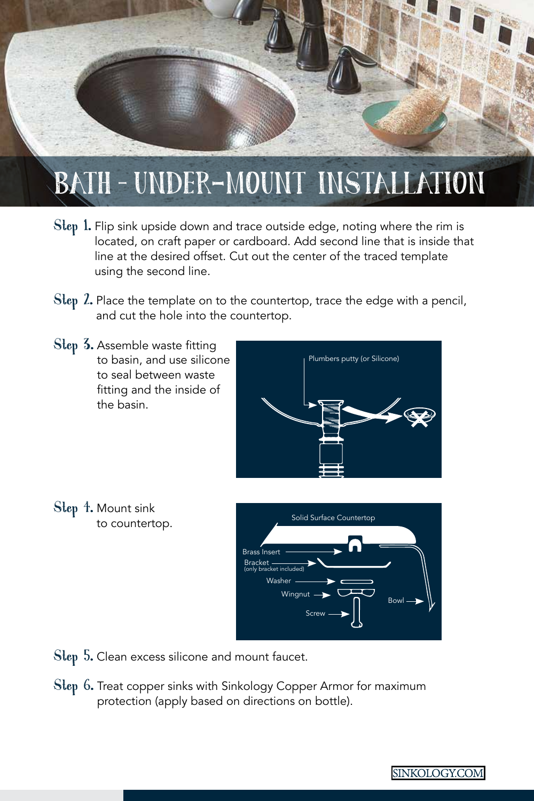

#### BATH – UNDER-MOUNT INSTALLATION

- Step 1. Flip sink upside down and trace outside edge, noting where the rim is located, on craft paper or cardboard. Add second line that is inside that line at the desired offset. Cut out the center of the traced template using the second line.
- Step 2. Place the template on to the countertop, trace the edge with a pencil, and cut the hole into the countertop.
- Step 3. Assemble waste fitting to basin, and use silicone to seal between waste fitting and the inside of the basin.



Step 4. Mount sink to countertop.



Step 5. Clean excess silicone and mount faucet.

Step 6. Treat copper sinks with Sinkology Copper Armor for maximum protection (apply based on directions on bottle).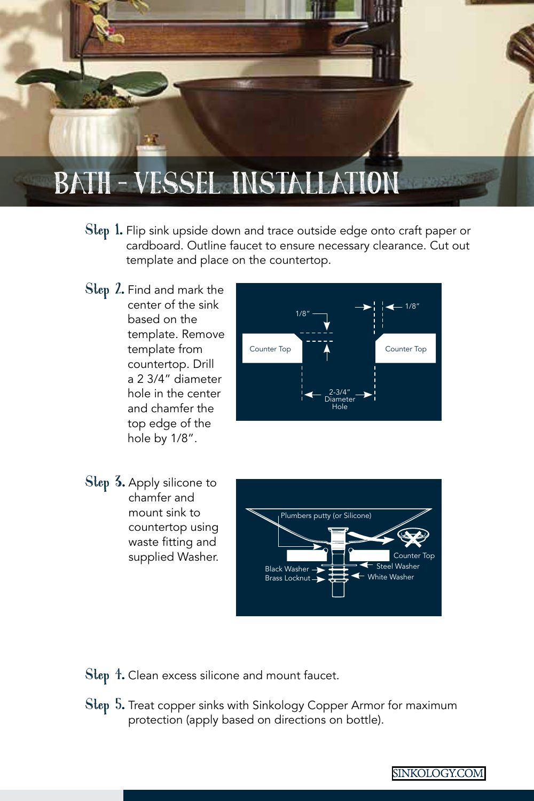

- Step 1. Flip sink upside down and trace outside edge onto craft paper or cardboard. Outline faucet to ensure necessary clearance. Cut out template and place on the countertop.
- Step 2. Find and mark the center of the sink based on the template. Remove template from countertop. Drill a 2 3/4" diameter hole in the center and chamfer the top edge of the hole by 1/8".



Step 3. Apply silicone to chamfer and mount sink to countertop using waste fitting and supplied Washer.



Step 4. Clean excess silicone and mount faucet.

Step 5. Treat copper sinks with Sinkology Copper Armor for maximum protection (apply based on directions on bottle).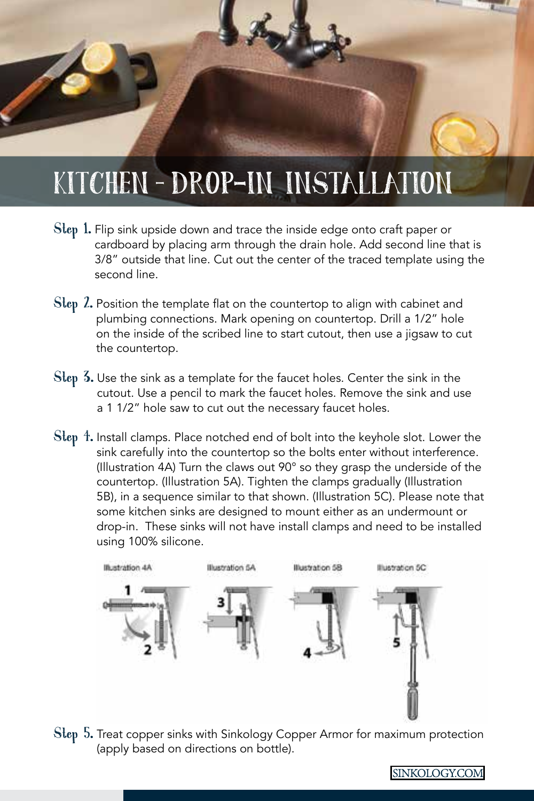### KITCHEN – DROP-IN INSTALLATION

- Step 1. Flip sink upside down and trace the inside edge onto craft paper or cardboard by placing arm through the drain hole. Add second line that is 3/8" outside that line. Cut out the center of the traced template using the second line.
- Step 2. Position the template flat on the countertop to align with cabinet and plumbing connections. Mark opening on countertop. Drill a 1/2" hole on the inside of the scribed line to start cutout, then use a jigsaw to cut the countertop.
- Step 3. Use the sink as a template for the faucet holes. Center the sink in the cutout. Use a pencil to mark the faucet holes. Remove the sink and use a 1 1/2" hole saw to cut out the necessary faucet holes.
- Step 4. Install clamps. Place notched end of bolt into the keyhole slot. Lower the sink carefully into the countertop so the bolts enter without interference. (Illustration 4A) Turn the claws out 90° so they grasp the underside of the countertop. (Illustration 5A). Tighten the clamps gradually (Illustration 5B), in a sequence similar to that shown. (Illustration 5C). Please note that some kitchen sinks are designed to mount either as an undermount or drop-in. These sinks will not have install clamps and need to be installed using 100% silicone.



Step 5. Treat copper sinks with Sinkology Copper Armor for maximum protection (apply based on directions on bottle).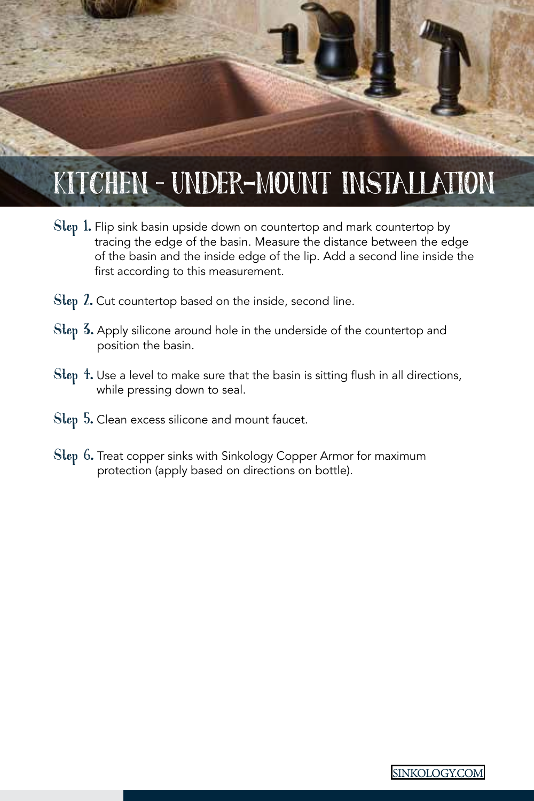# KITCHEN – UNDER-MOUNT INSTALLATION

- Step 1. Flip sink basin upside down on countertop and mark countertop by tracing the edge of the basin. Measure the distance between the edge of the basin and the inside edge of the lip. Add a second line inside the first according to this measurement.
- Step 2. Cut countertop based on the inside, second line.
- Step 3. Apply silicone around hole in the underside of the countertop and position the basin.
- Step 4. Use a level to make sure that the basin is sitting flush in all directions, while pressing down to seal.
- Step 5. Clean excess silicone and mount faucet.
- Step 6. Treat copper sinks with Sinkology Copper Armor for maximum protection (apply based on directions on bottle).